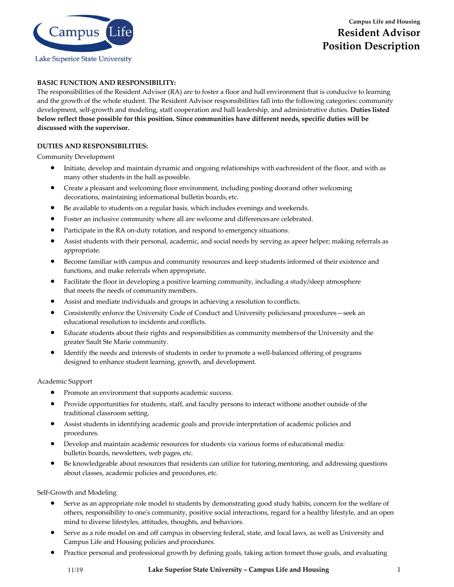

# **Campus Life and Housing Resident Advisor Position Description**

### **BASIC FUNCTION AND RESPONSIBILITY:**

The responsibilities of the Resident Advisor (RA) are to foster a floor and hall environment that is conducive to learning and the growth of the whole student. The Resident Advisor responsibilities fall into the following categories: community development, self-growth and modeling, staff cooperation and hall leadership, and administrative duties. **Duties listed below reflect those possible for this position. Since communities have different needs, specific duties will be discussed with the supervisor.**

#### **DUTIES AND RESPONSIBILITIES:**

Community Development

- Initiate, develop and maintain dynamic and ongoing relationships with eachresident of the floor, and with as many other students in the hall as possible.
- Create a pleasant and welcoming floor environment, including posting doorand other welcoming decorations, maintaining informational bulletin boards, etc.
- Be available to students on a regular basis, which includes evenings and weekends.
- Foster an inclusive community where all are welcome and differencesare celebrated.
- Participate in the RA on-duty rotation, and respond to emergency situations.
- Assist students with their personal, academic, and social needs by serving as apeer helper; making referrals as appropriate.
- Become familiar with campus and community resources and keep students informed of their existence and functions, and make referrals when appropriate.
- Facilitate the floor in developing a positive learning community, including a study/sleep atmosphere that meets the needs of communitymembers.
- Assist and mediate individuals and groups in achieving a resolution to conflicts.
- Consistently enforce the University Code of Conduct and University policies and procedures seek an educational resolution to incidents and conflicts.
- Educate students about their rights and responsibilities as community membersof the University and the greater Sault Ste Marie community.
- Identify the needs and interests of students in order to promote a well-balanced offering of programs designed to enhance student learning, growth, and development.

Academic Support

- Promote an environment that supports academic success.
- Provide opportunities for students, staff, and faculty persons to interact withone another outside of the traditional classroom setting.
- Assist students in identifying academic goals and provide interpretation of academic policies and procedures.
- Develop and maintain academic resources for students via various forms of educational media: bulletin boards, newsletters, web pages, etc.
- Be knowledgeable about resources that residents can utilize for tutoring,mentoring, and addressing questions about classes, academic policies and procedures, etc.

Self-Growth and Modeling

- Serve as an appropriate role model to students by demonstrating good study habits, concern for the welfare of others, responsibility to one's community, positive social interactions, regard for a healthy lifestyle, and an open mind to diverse lifestyles, attitudes, thoughts, and behaviors.
- Serve as a role model on and off campus in observing federal, state, and local laws, as well as University and Campus Life and Housing policies and procedures.
- Practice personal and professional growth by defining goals, taking action tomeet those goals, and evaluating